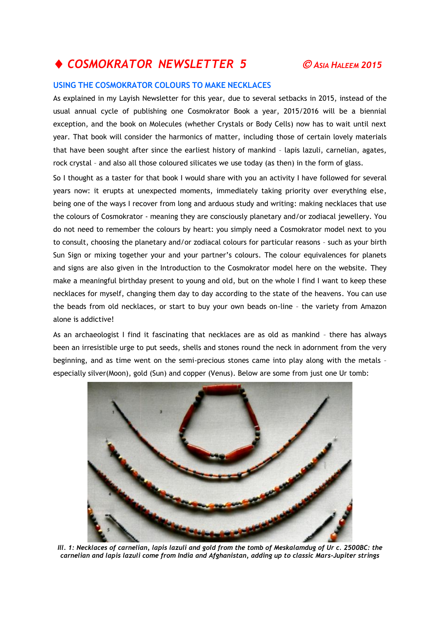## ◆ COSMOKRATOR NEWSLETTER 5  $\odot$  ASIA HALEEM 2015

## **USING THE COSMOKRATOR COLOURS TO MAKE NECKLACES**

As explained in my Layish Newsletter for this year, due to several setbacks in 2015, instead of the usual annual cycle of publishing one Cosmokrator Book a year, 2015/2016 will be a biennial exception, and the book on Molecules (whether Crystals or Body Cells) now has to wait until next year. That book will consider the harmonics of matter, including those of certain lovely materials that have been sought after since the earliest history of mankind – lapis lazuli, carnelian, agates, rock crystal – and also all those coloured silicates we use today (as then) in the form of glass.

So I thought as a taster for that book I would share with you an activity I have followed for several years now: it erupts at unexpected moments, immediately taking priority over everything else, being one of the ways I recover from long and arduous study and writing: making necklaces that use the colours of Cosmokrator - meaning they are consciously planetary and/or zodiacal jewellery. You do not need to remember the colours by heart: you simply need a Cosmokrator model next to you to consult, choosing the planetary and/or zodiacal colours for particular reasons – such as your birth Sun Sign or mixing together your and your partner's colours. The colour equivalences for planets and signs are also given in the Introduction to the Cosmokrator model here on the website. They make a meaningful birthday present to young and old, but on the whole I find I want to keep these necklaces for myself, changing them day to day according to the state of the heavens. You can use the beads from old necklaces, or start to buy your own beads on-line – the variety from Amazon alone is addictive!

As an archaeologist I find it fascinating that necklaces are as old as mankind – there has always been an irresistible urge to put seeds, shells and stones round the neck in adornment from the very beginning, and as time went on the semi-precious stones came into play along with the metals – especially silver(Moon), gold (Sun) and copper (Venus). Below are some from just one Ur tomb:



*Ill. 1: Necklaces of carnelian, lapis lazuli and gold from the tomb of Meskalamdug of Ur c. 2500BC: the carnelian and lapis lazuli come from India and Afghanistan, adding up to classic Mars-Jupiter strings*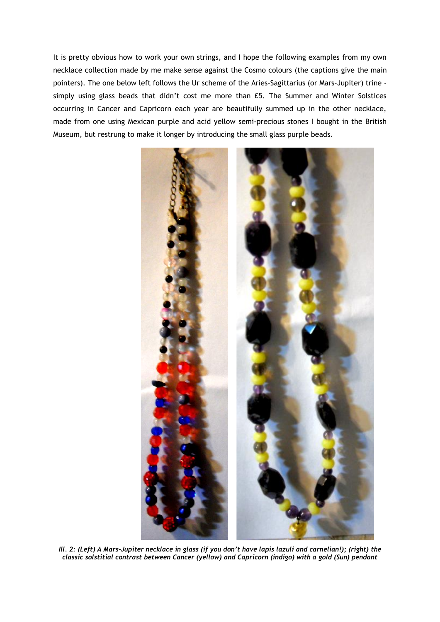It is pretty obvious how to work your own strings, and I hope the following examples from my own necklace collection made by me make sense against the Cosmo colours (the captions give the main pointers). The one below left follows the Ur scheme of the Aries-Sagittarius (or Mars-Jupiter) trine simply using glass beads that didn't cost me more than £5. The Summer and Winter Solstices occurring in Cancer and Capricorn each year are beautifully summed up in the other necklace, made from one using Mexican purple and acid yellow semi-precious stones I bought in the British Museum, but restrung to make it longer by introducing the small glass purple beads.



*Ill. 2: (Left) A Mars-Jupiter necklace in glass (if you don't have lapis lazuli and carnelian!); (right) the classic solstitial contrast between Cancer (yellow) and Capricorn (indigo) with a gold (Sun) pendant*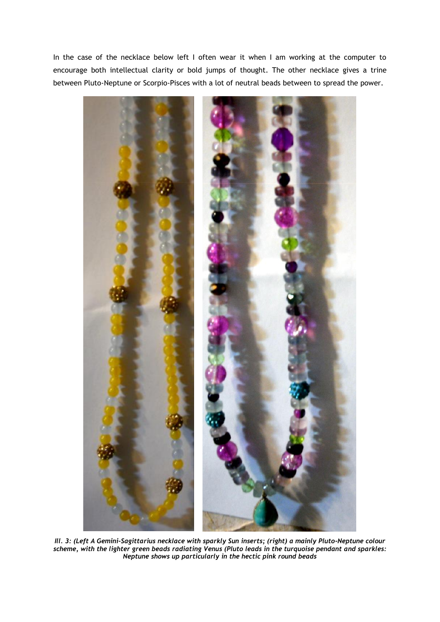In the case of the necklace below left I often wear it when I am working at the computer to encourage both intellectual clarity or bold jumps of thought. The other necklace gives a trine between Pluto-Neptune or Scorpio-Pisces with a lot of neutral beads between to spread the power.



*Ill. 3: (Left A Gemini-Sagittarius necklace with sparkly Sun inserts; (right) a mainly Pluto-Neptune colour scheme, with the lighter green beads radiating Venus (Pluto leads in the turquoise pendant and sparkles: Neptune shows up particularly in the hectic pink round beads*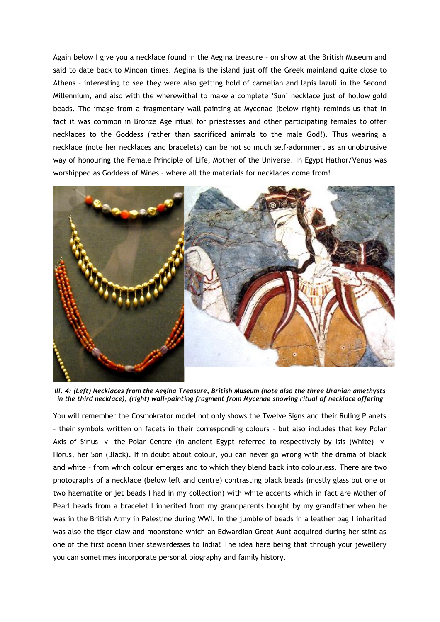Again below I give you a necklace found in the Aegina treasure – on show at the British Museum and said to date back to Minoan times. Aegina is the island just off the Greek mainland quite close to Athens – interesting to see they were also getting hold of carnelian and lapis lazuli in the Second Millennium, and also with the wherewithal to make a complete 'Sun' necklace just of hollow gold beads. The image from a fragmentary wall-painting at Mycenae (below right) reminds us that in fact it was common in Bronze Age ritual for priestesses and other participating females to offer necklaces to the Goddess (rather than sacrificed animals to the male God!). Thus wearing a necklace (note her necklaces and bracelets) can be not so much self-adornment as an unobtrusive way of honouring the Female Principle of Life, Mother of the Universe. In Egypt Hathor/Venus was worshipped as Goddess of Mines – where all the materials for necklaces come from!



*Ill. 4: (Left) Necklaces from the Aegina Treasure, British Museum (note also the three Uranian amethysts in the third necklace); (right) wall-painting fragment from Mycenae showing ritual of necklace offering* 

You will remember the Cosmokrator model not only shows the Twelve Signs and their Ruling Planets – their symbols written on facets in their corresponding colours – but also includes that key Polar Axis of Sirius –v- the Polar Centre (in ancient Egypt referred to respectively by Isis (White) –v-Horus, her Son (Black). If in doubt about colour, you can never go wrong with the drama of black and white – from which colour emerges and to which they blend back into colourless. There are two photographs of a necklace (below left and centre) contrasting black beads (mostly glass but one or two haematite or jet beads I had in my collection) with white accents which in fact are Mother of Pearl beads from a bracelet I inherited from my grandparents bought by my grandfather when he was in the British Army in Palestine during WWI. In the jumble of beads in a leather bag I inherited was also the tiger claw and moonstone which an Edwardian Great Aunt acquired during her stint as one of the first ocean liner stewardesses to India! The idea here being that through your jewellery you can sometimes incorporate personal biography and family history.